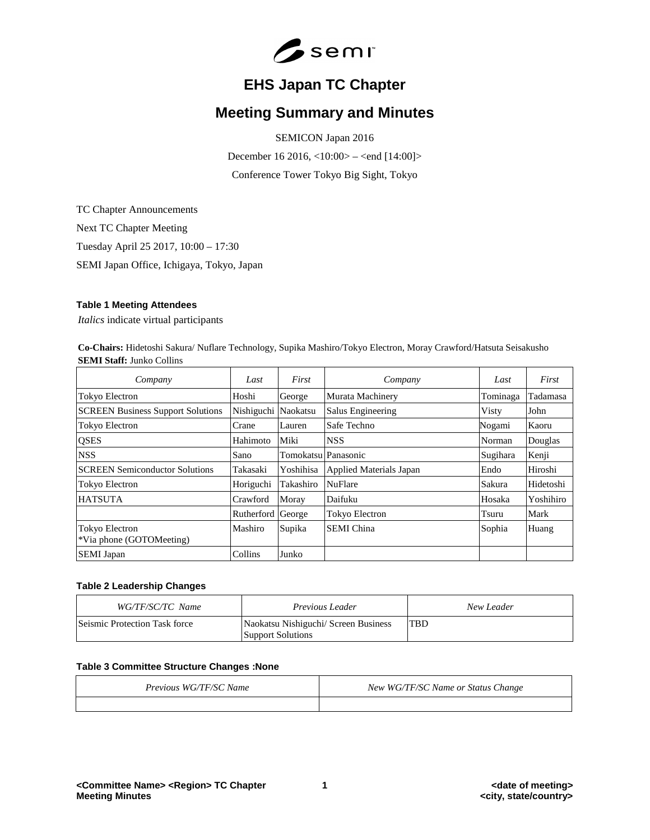

# **EHS Japan TC Chapter**

# **Meeting Summary and Minutes**

SEMICON Japan 2016

December 16 2016, <10:00> – <end [14:00]> Conference Tower Tokyo Big Sight, Tokyo

TC Chapter Announcements Next TC Chapter Meeting Tuesday April 25 2017, 10:00 – 17:30 SEMI Japan Office, Ichigaya, Tokyo, Japan

# **Table 1 Meeting Attendees**

*Italics* indicate virtual participants

**Co-Chairs:** Hidetoshi Sakura/ Nuflare Technology, Supika Mashiro/Tokyo Electron, Moray Crawford/Hatsuta Seisakusho **SEMI Staff:** Junko Collins

| Company                                           | Last                | First               | Company                  | Last     | First     |
|---------------------------------------------------|---------------------|---------------------|--------------------------|----------|-----------|
| Tokyo Electron                                    | Hoshi               | George              | Murata Machinery         | Tominaga | Tadamasa  |
| <b>SCREEN Business Support Solutions</b>          | Nishiguchi Naokatsu |                     | <b>Salus Engineering</b> | Visty    | John      |
| Tokyo Electron                                    | Crane               | Lauren              | Safe Techno              | Nogami   | Kaoru     |
| <b>QSES</b>                                       | Hahimoto            | Miki                | <b>NSS</b>               | Norman   | Douglas   |
| <b>NSS</b>                                        | Sano                | Tomokatsu Panasonic |                          | Sugihara | Kenji     |
| <b>SCREEN Semiconductor Solutions</b>             | Takasaki            | Yoshihisa           | Applied Materials Japan  | Endo     | Hiroshi   |
| Tokyo Electron                                    | Horiguchi           | Takashiro           | <b>NuFlare</b>           | Sakura   | Hidetoshi |
| <b>HATSUTA</b>                                    | Crawford            | Moray               | Daifuku                  | Hosaka   | Yoshihiro |
|                                                   | Rutherford          | George              | <b>Tokyo Electron</b>    | Tsuru    | Mark      |
| <b>Tokyo Electron</b><br>*Via phone (GOTOMeeting) | Mashiro             | Supika              | <b>SEMI</b> China        | Sophia   | Huang     |
| <b>SEMI</b> Japan                                 | Collins             | Junko               |                          |          |           |

# **Table 2 Leadership Changes**

| WG/TF/SC/TC Name              | <i>Previous Leader</i>                                           | New Leader |
|-------------------------------|------------------------------------------------------------------|------------|
| Seismic Protection Task force | Naokatsu Nishiguchi/ Screen Business<br><b>Support Solutions</b> | <b>TBD</b> |

### **Table 3 Committee Structure Changes :None**

| Previous WG/TF/SC Name | New WG/TF/SC Name or Status Change |
|------------------------|------------------------------------|
|                        |                                    |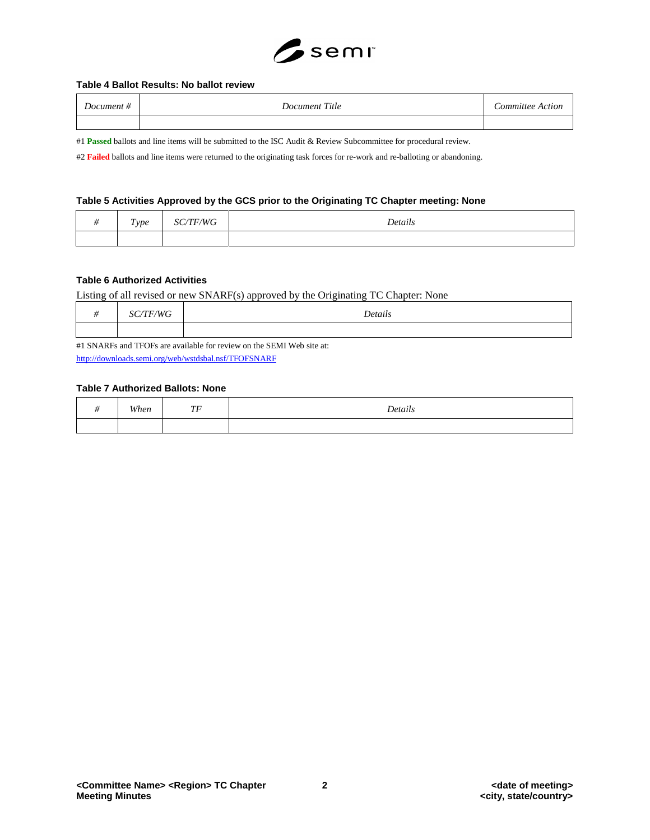

### **Table 4 Ballot Results: No ballot review**

| Document # | Document Title | Committee Action |
|------------|----------------|------------------|
|            |                |                  |

#1 **Passed** ballots and line items will be submitted to the ISC Audit & Review Subcommittee for procedural review.

#2 **Failed** ballots and line items were returned to the originating task forces for re-work and re-balloting or abandoning.

#### **Table 5 Activities Approved by the GCS prior to the Originating TC Chapter meeting: None**

| $\mathbf{r}$<br><i>Type</i> | $\neg W G$ | Details |
|-----------------------------|------------|---------|
|                             |            |         |

## **Table 6 Authorized Activities**

Listing of all revised or new SNARF(s) approved by the Originating TC Chapter: None

|  | Dotair<br>. |
|--|-------------|
|  |             |

#1 SNARFs and TFOFs are available for review on the SEMI Web site at: <http://downloads.semi.org/web/wstdsbal.nsf/TFOFSNARF>

# **Table 7 Authorized Ballots: None**

| <b>TTTI</b> | $\pi\pi$ | $\ddot{\phantom{0}}$ |
|-------------|----------|----------------------|
| When        | . .      | Details              |
|             |          |                      |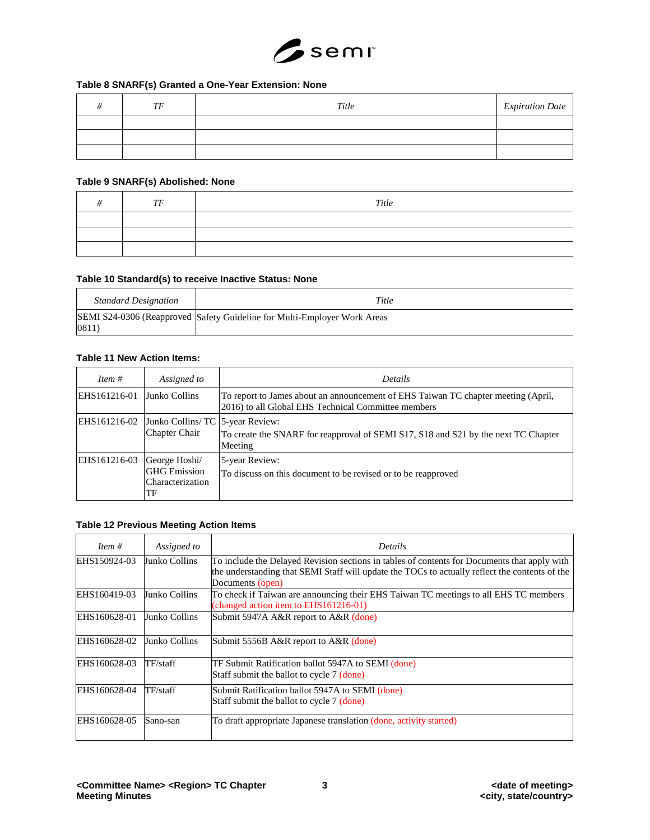

# **Table 8 SNARF(s) Granted a One-Year Extension: None**

| $T\bar{F}$ | Title | <b>Expiration Date</b> |
|------------|-------|------------------------|
|            |       |                        |
|            |       |                        |
|            |       |                        |

## **Table 9 SNARF(s) Abolished: None**

| TF | Title |
|----|-------|
|    |       |
|    |       |
|    |       |

## **Table 10 Standard(s) to receive Inactive Status: None**

| <b>Standard Designation</b> | Title                                                                    |
|-----------------------------|--------------------------------------------------------------------------|
| 0811                        | SEMI S24-0306 (Reapproved Safety Guideline for Multi-Employer Work Areas |

# **Table 11 New Action Items:**

| <i>Item</i> $#$ | Assigned to                                                    | <b>Details</b>                                                                                                                           |
|-----------------|----------------------------------------------------------------|------------------------------------------------------------------------------------------------------------------------------------------|
| EHS161216-01    | Junko Collins                                                  | To report to James about an announcement of EHS Taiwan TC chapter meeting (April,<br>2016) to all Global EHS Technical Committee members |
| EHS161216-02    | Junko Collins/ TC 5-year Review:<br><b>Chapter Chair</b>       | To create the SNARF for reapproval of SEMI S17, S18 and S21 by the next TC Chapter<br>Meeting                                            |
| EHS161216-03    | George Hoshi/<br><b>GHG</b> Emission<br>Characterization<br>TF | 5-year Review:<br>To discuss on this document to be revised or to be reapproved                                                          |

# **Table 12 Previous Meeting Action Items**

| Item $#$     | Assigned to   | Details                                                                                                                                                                                                            |
|--------------|---------------|--------------------------------------------------------------------------------------------------------------------------------------------------------------------------------------------------------------------|
| EHS150924-03 | Junko Collins | To include the Delayed Revision sections in tables of contents for Documents that apply with<br>the understanding that SEMI Staff will update the TOCs to actually reflect the contents of the<br>Documents (open) |
| EHS160419-03 | Junko Collins | To check if Taiwan are announcing their EHS Taiwan TC meetings to all EHS TC members<br>(changed action item to EHS161216-01)                                                                                      |
| EHS160628-01 | Junko Collins | Submit 5947A A&R report to A&R (done)                                                                                                                                                                              |
| EHS160628-02 | Junko Collins | Submit 5556B A&R report to A&R (done)                                                                                                                                                                              |
| EHS160628-03 | TF/staff      | TF Submit Ratification ballot 5947A to SEMI (done)<br>Staff submit the ballot to cycle 7 (done)                                                                                                                    |
| EHS160628-04 | TF/staff      | Submit Ratification ballot 5947A to SEMI (done)<br>Staff submit the ballot to cycle 7 (done)                                                                                                                       |
| EHS160628-05 | Sano-san      | To draft appropriate Japanese translation (done, activity started)                                                                                                                                                 |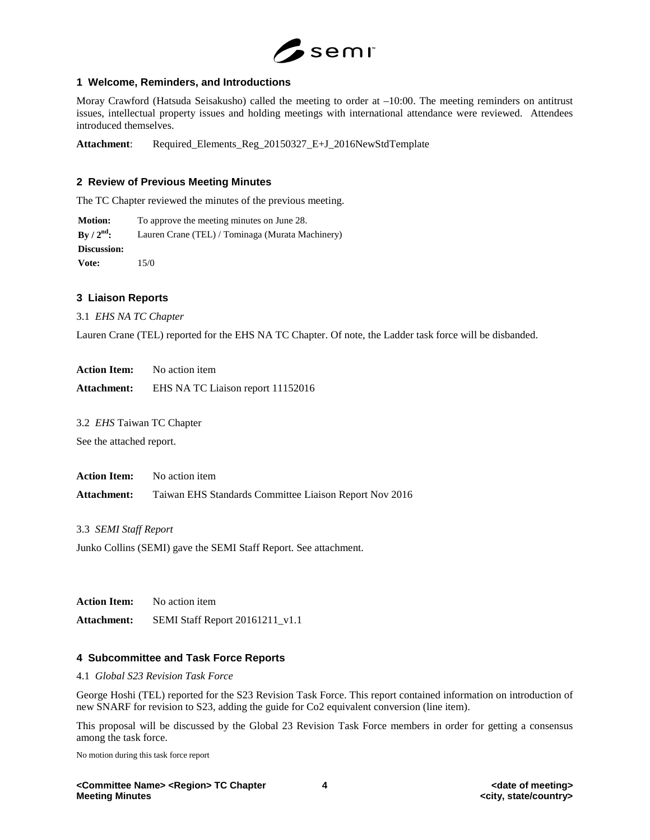

## **1 Welcome, Reminders, and Introductions**

Moray Crawford (Hatsuda Seisakusho) called the meeting to order at –10:00. The meeting reminders on antitrust issues, intellectual property issues and holding meetings with international attendance were reviewed. Attendees introduced themselves.

**Attachment**: Required\_Elements\_Reg\_20150327\_E+J\_2016NewStdTemplate

## **2 Review of Previous Meeting Minutes**

The TC Chapter reviewed the minutes of the previous meeting.

**Motion:** To approve the meeting minutes on June 28. **By / 2nd:** Lauren Crane (TEL) / Tominaga (Murata Machinery) **Discussion: Vote:** 15/0

#### **3 Liaison Reports**

3.1 *EHS NA TC Chapter*

Lauren Crane (TEL) reported for the EHS NA TC Chapter. Of note, the Ladder task force will be disbanded.

**Action Item:** No action item

**Attachment:** EHS NA TC Liaison report 11152016

3.2 *EHS* Taiwan TC Chapter

See the attached report.

**Action Item:** No action item **Attachment:** Taiwan EHS Standards Committee Liaison Report Nov 2016

3.3 *SEMI Staff Report*

Junko Collins (SEMI) gave the SEMI Staff Report. See attachment.

**Action Item:** No action item **Attachment:** SEMI Staff Report 20161211\_v1.1

### **4 Subcommittee and Task Force Reports**

4.1 *Global S23 Revision Task Force*

George Hoshi (TEL) reported for the S23 Revision Task Force. This report contained information on introduction of new SNARF for revision to S23, adding the guide for Co2 equivalent conversion (line item).

This proposal will be discussed by the Global 23 Revision Task Force members in order for getting a consensus among the task force.

No motion during this task force report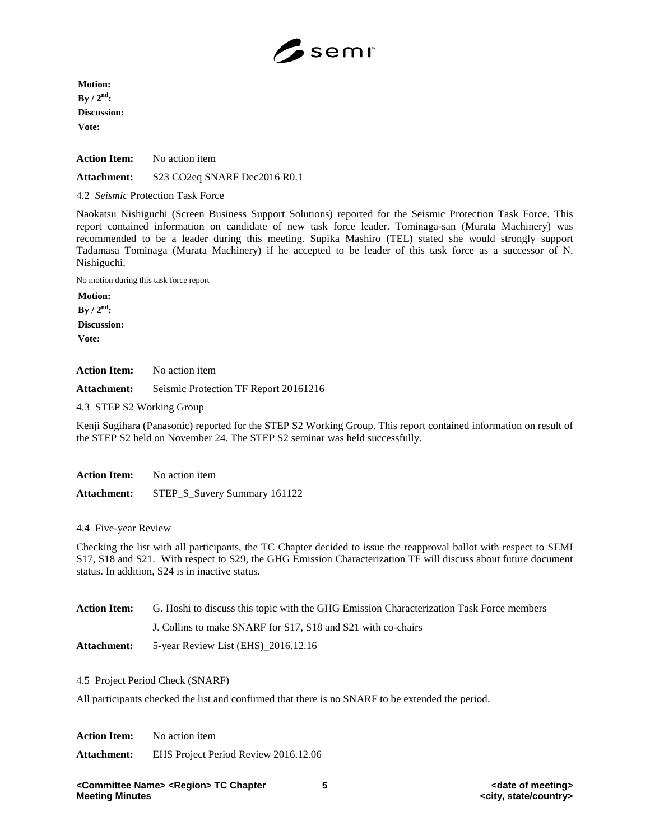

**Motion: By / 2nd: Discussion: Vote:**

**Action Item:** No action item

**Attachment:** S23 CO2eq SNARF Dec2016 R0.1

4.2 *Seismic* Protection Task Force

Naokatsu Nishiguchi (Screen Business Support Solutions) reported for the Seismic Protection Task Force. This report contained information on candidate of new task force leader. Tominaga-san (Murata Machinery) was recommended to be a leader during this meeting. Supika Mashiro (TEL) stated she would strongly support Tadamasa Tominaga (Murata Machinery) if he accepted to be leader of this task force as a successor of N. Nishiguchi.

No motion during this task force report

**Motion: By / 2nd: Discussion: Vote:**

**Action Item:** No action item

**Attachment:** Seismic Protection TF Report 20161216

4.3 STEP S2 Working Group

Kenji Sugihara (Panasonic) reported for the STEP S2 Working Group. This report contained information on result of the STEP S2 held on November 24. The STEP S2 seminar was held successfully.

| <b>Action Item:</b> | No action item               |
|---------------------|------------------------------|
| <b>Attachment:</b>  | STEP_S_Suvery Summary 161122 |

4.4 Five-year Review

Checking the list with all participants, the TC Chapter decided to issue the reapproval ballot with respect to SEMI S17, S18 and S21. With respect to S29, the GHG Emission Characterization TF will discuss about future document status. In addition, S24 is in inactive status.

| Action Item: | G. Hoshi to discuss this topic with the GHG Emission Characterization Task Force members |  |
|--------------|------------------------------------------------------------------------------------------|--|
|              | J. Collins to make SNARF for S17, S18 and S21 with co-chairs                             |  |
| Attachment:  | 5-year Review List (EHS)_2016.12.16                                                      |  |

4.5 Project Period Check (SNARF)

All participants checked the list and confirmed that there is no SNARF to be extended the period.

**Action Item:** No action item **Attachment:** EHS Project Period Review 2016.12.06

**<Committee Name> <Region> TC Chapter 5 <date of meeting>**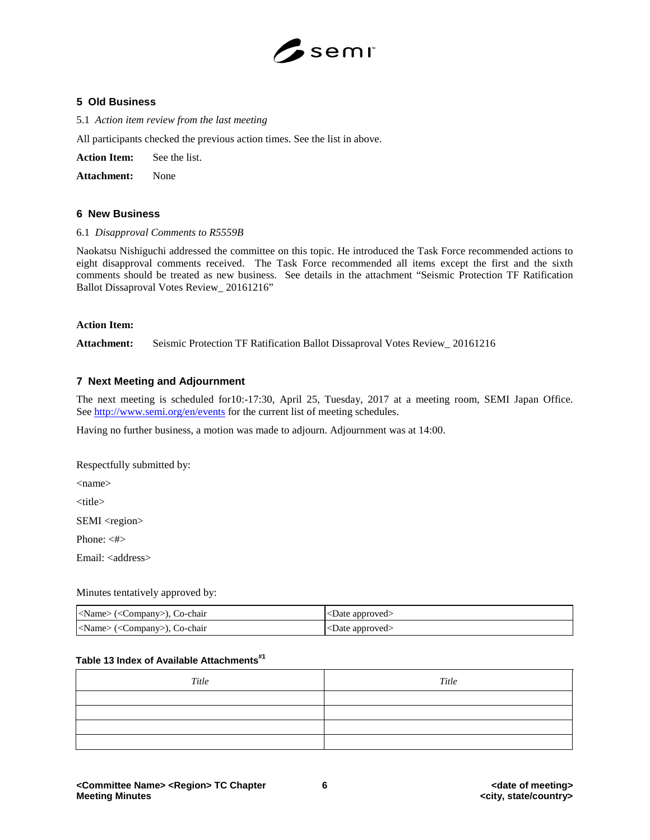

## **5 Old Business**

5.1 *Action item review from the last meeting*

All participants checked the previous action times. See the list in above.

**Action Item:** See the list.

**Attachment:** None

### **6 New Business**

#### 6.1 *Disapproval Comments to R5559B*

Naokatsu Nishiguchi addressed the committee on this topic. He introduced the Task Force recommended actions to eight disapproval comments received. The Task Force recommended all items except the first and the sixth comments should be treated as new business. See details in the attachment "Seismic Protection TF Ratification Ballot Dissaproval Votes Review\_ 20161216"

#### **Action Item:**

**Attachment:** Seismic Protection TF Ratification Ballot Dissaproval Votes Review\_ 20161216

## **7 Next Meeting and Adjournment**

The next meeting is scheduled for10:-17:30, April 25, Tuesday, 2017 at a meeting room, SEMI Japan Office. See<http://www.semi.org/en/events> for the current list of meeting schedules.

Having no further business, a motion was made to adjourn. Adjournment was at 14:00.

Respectfully submitted by:

<name>

<title>

SEMI <region>

Phone: <#>

Email: <address>

#### Minutes tentatively approved by:

| <name> (<company>), Co-chair</company></name> | $ $ <date approved=""></date>         |
|-----------------------------------------------|---------------------------------------|
| <name> (<company>), Co-chair</company></name> | $ $ $\langle$ Date approved $\rangle$ |

# **Table 13 Index of Available Attachments#1**

| Title | Title |
|-------|-------|
|       |       |
|       |       |
|       |       |
|       |       |